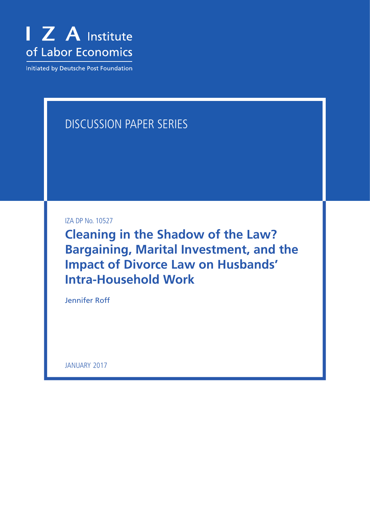

Initiated by Deutsche Post Foundation

# Discussion Paper Series

IZA DP No. 10527

**Cleaning in the Shadow of the Law? Bargaining, Marital Investment, and the Impact of Divorce Law on Husbands' Intra-Household Work**

Jennifer Roff

JANUARY 2017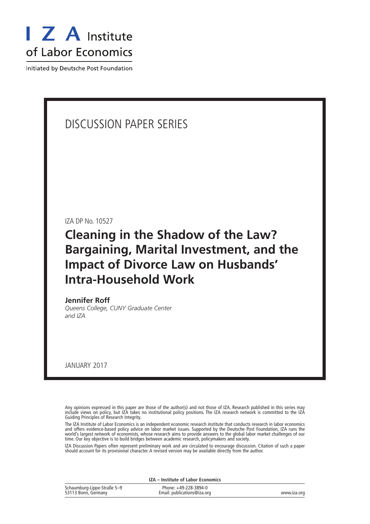

Initiated by Deutsche Post Foundation

## Discussion Paper Series

IZA DP No. 10527

## **Cleaning in the Shadow of the Law? Bargaining, Marital Investment, and the Impact of Divorce Law on Husbands' Intra-Household Work**

**Jennifer Roff**

*Queens College, CUNY Graduate Center and IZA*

january 2017

Any opinions expressed in this paper are those of the author(s) and not those of IZA. Research published in this series may include views on policy, but IZA takes no institutional policy positions. The IZA research network is committed to the IZA Guiding Principles of Research Integrity.

The IZA Institute of Labor Economics is an independent economic research institute that conducts research in labor economics and offers evidence-based policy advice on labor market issues. Supported by the Deutsche Post Foundation, IZA runs the world's largest network of economists, whose research aims to provide answers to the global labor market challenges of our time. Our key objective is to build bridges between academic research, policymakers and society.

IZA Discussion Papers often represent preliminary work and are circulated to encourage discussion. Citation of such a paper should account for its provisional character. A revised version may be available directly from the author.

**IZA – Institute of Labor Economics**

| Schaumburg-Lippe-Straße 5-9 | Phone: +49-228-3894-0       |             |
|-----------------------------|-----------------------------|-------------|
| 53113 Bonn, Germany         | Email: publications@iza.org | www.iza.org |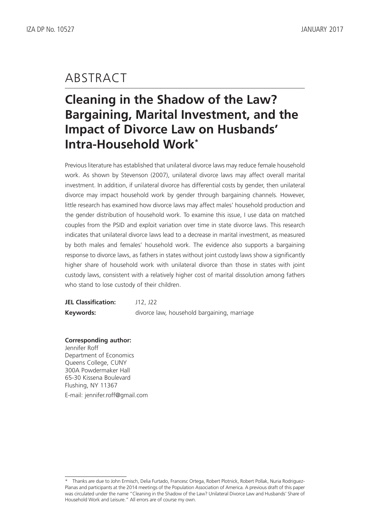# **ABSTRACT**

# **Cleaning in the Shadow of the Law? Bargaining, Marital Investment, and the Impact of Divorce Law on Husbands' Intra-Household Work\***

Previous literature has established that unilateral divorce laws may reduce female household work. As shown by Stevenson (2007), unilateral divorce laws may affect overall marital investment. In addition, if unilateral divorce has differential costs by gender, then unilateral divorce may impact household work by gender through bargaining channels. However, little research has examined how divorce laws may affect males' household production and the gender distribution of household work. To examine this issue, I use data on matched couples from the PSID and exploit variation over time in state divorce laws. This research indicates that unilateral divorce laws lead to a decrease in marital investment, as measured by both males and females' household work. The evidence also supports a bargaining response to divorce laws, as fathers in states without joint custody laws show a significantly higher share of household work with unilateral divorce than those in states with joint custody laws, consistent with a relatively higher cost of marital dissolution among fathers who stand to lose custody of their children.

**JEL Classification:** J12, J22 **Keywords:** divorce law, household bargaining, marriage

**Corresponding author:** Jennifer Roff Department of Economics Queens College, CUNY 300A Powdermaker Hall 65-30 Kissena Boulevard Flushing, NY 11367 E-mail: jennifer.roff@gmail.com

Thanks are due to John Ermisch, Delia Furtado, Francesc Ortega, Robert Plotnick, Robert Pollak, Nuria Rodriguez-Planas and participants at the 2014 meetings of the Population Association of America. A previous draft of this paper was circulated under the name "Cleaning in the Shadow of the Law? Unilateral Divorce Law and Husbands' Share of Household Work and Leisure." All errors are of course my own.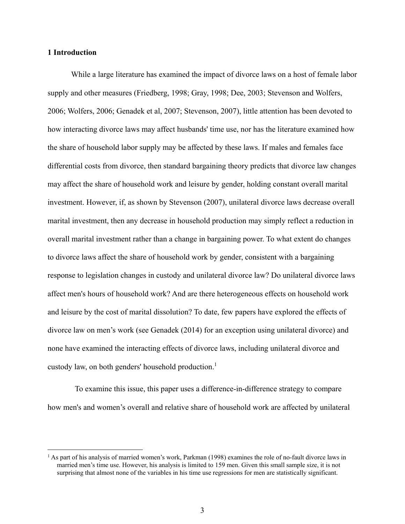#### **1 Introduction**

 $\overline{a}$ 

 While a large literature has examined the impact of divorce laws on a host of female labor supply and other measures (Friedberg, 1998; Gray, 1998; Dee, 2003; Stevenson and Wolfers, 2006; Wolfers, 2006; Genadek et al, 2007; Stevenson, 2007), little attention has been devoted to how interacting divorce laws may affect husbands' time use, nor has the literature examined how the share of household labor supply may be affected by these laws. If males and females face differential costs from divorce, then standard bargaining theory predicts that divorce law changes may affect the share of household work and leisure by gender, holding constant overall marital investment. However, if, as shown by Stevenson (2007), unilateral divorce laws decrease overall marital investment, then any decrease in household production may simply reflect a reduction in overall marital investment rather than a change in bargaining power. To what extent do changes to divorce laws affect the share of household work by gender, consistent with a bargaining response to legislation changes in custody and unilateral divorce law? Do unilateral divorce laws affect men's hours of household work? And are there heterogeneous effects on household work and leisure by the cost of marital dissolution? To date, few papers have explored the effects of divorce law on men's work (see Genadek (2014) for an exception using unilateral divorce) and none have examined the interacting effects of divorce laws, including unilateral divorce and custody law, on both genders' household production.<sup>1</sup>

 To examine this issue, this paper uses a difference-in-difference strategy to compare how men's and women's overall and relative share of household work are affected by unilateral

<sup>&</sup>lt;sup>1</sup> As part of his analysis of married women's work, Parkman (1998) examines the role of no-fault divorce laws in married men's time use. However, his analysis is limited to 159 men. Given this small sample size, it is not surprising that almost none of the variables in his time use regressions for men are statistically significant.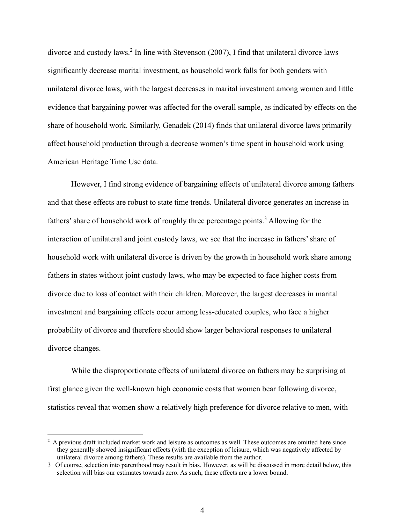divorce and custody laws.<sup>2</sup> In line with Stevenson (2007), I find that unilateral divorce laws significantly decrease marital investment, as household work falls for both genders with unilateral divorce laws, with the largest decreases in marital investment among women and little evidence that bargaining power was affected for the overall sample, as indicated by effects on the share of household work. Similarly, Genadek (2014) finds that unilateral divorce laws primarily affect household production through a decrease women's time spent in household work using American Heritage Time Use data.

 However, I find strong evidence of bargaining effects of unilateral divorce among fathers and that these effects are robust to state time trends. Unilateral divorce generates an increase in fathers' share of household work of roughly three percentage points.<sup>3</sup> Allowing for the interaction of unilateral and joint custody laws, we see that the increase in fathers' share of household work with unilateral divorce is driven by the growth in household work share among fathers in states without joint custody laws, who may be expected to face higher costs from divorce due to loss of contact with their children. Moreover, the largest decreases in marital investment and bargaining effects occur among less-educated couples, who face a higher probability of divorce and therefore should show larger behavioral responses to unilateral divorce changes.

 While the disproportionate effects of unilateral divorce on fathers may be surprising at first glance given the well-known high economic costs that women bear following divorce, statistics reveal that women show a relatively high preference for divorce relative to men, with

 $\overline{a}$ 

<sup>&</sup>lt;sup>2</sup> A previous draft included market work and leisure as outcomes as well. These outcomes are omitted here since they generally showed insignificant effects (with the exception of leisure, which was negatively affected by unilateral divorce among fathers). These results are available from the author.

<sup>3</sup> Of course, selection into parenthood may result in bias. However, as will be discussed in more detail below, this selection will bias our estimates towards zero. As such, these effects are a lower bound.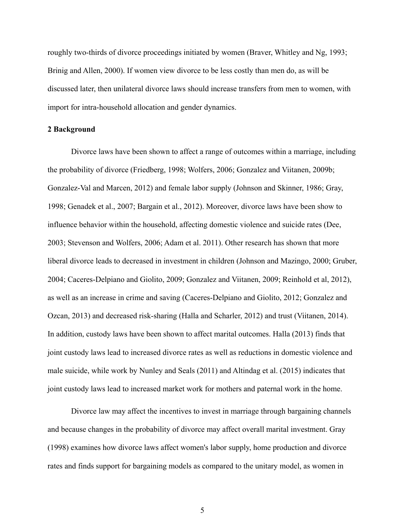roughly two-thirds of divorce proceedings initiated by women (Braver, Whitley and Ng, 1993; Brinig and Allen, 2000). If women view divorce to be less costly than men do, as will be discussed later, then unilateral divorce laws should increase transfers from men to women, with import for intra-household allocation and gender dynamics.

#### **2 Background**

Divorce laws have been shown to affect a range of outcomes within a marriage, including the probability of divorce (Friedberg, 1998; Wolfers, 2006; Gonzalez and Viitanen, 2009b; Gonzalez-Val and Marcen, 2012) and female labor supply (Johnson and Skinner, 1986; Gray, 1998; Genadek et al., 2007; Bargain et al., 2012). Moreover, divorce laws have been show to influence behavior within the household, affecting domestic violence and suicide rates (Dee, 2003; Stevenson and Wolfers, 2006; Adam et al. 2011). Other research has shown that more liberal divorce leads to decreased in investment in children (Johnson and Mazingo, 2000; Gruber, 2004; Caceres-Delpiano and Giolito, 2009; Gonzalez and Viitanen, 2009; Reinhold et al, 2012), as well as an increase in crime and saving (Caceres-Delpiano and Giolito, 2012; Gonzalez and Ozcan, 2013) and decreased risk-sharing (Halla and Scharler, 2012) and trust (Viitanen, 2014). In addition, custody laws have been shown to affect marital outcomes. Halla (2013) finds that joint custody laws lead to increased divorce rates as well as reductions in domestic violence and male suicide, while work by Nunley and Seals (2011) and Altindag et al. (2015) indicates that joint custody laws lead to increased market work for mothers and paternal work in the home.

 Divorce law may affect the incentives to invest in marriage through bargaining channels and because changes in the probability of divorce may affect overall marital investment. Gray (1998) examines how divorce laws affect women's labor supply, home production and divorce rates and finds support for bargaining models as compared to the unitary model, as women in

5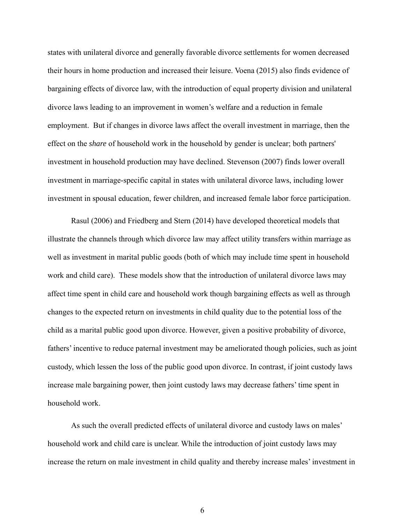states with unilateral divorce and generally favorable divorce settlements for women decreased their hours in home production and increased their leisure. Voena (2015) also finds evidence of bargaining effects of divorce law, with the introduction of equal property division and unilateral divorce laws leading to an improvement in women's welfare and a reduction in female employment. But if changes in divorce laws affect the overall investment in marriage, then the effect on the *share* of household work in the household by gender is unclear; both partners' investment in household production may have declined. Stevenson (2007) finds lower overall investment in marriage-specific capital in states with unilateral divorce laws, including lower investment in spousal education, fewer children, and increased female labor force participation.

Rasul (2006) and Friedberg and Stern (2014) have developed theoretical models that illustrate the channels through which divorce law may affect utility transfers within marriage as well as investment in marital public goods (both of which may include time spent in household work and child care). These models show that the introduction of unilateral divorce laws may affect time spent in child care and household work though bargaining effects as well as through changes to the expected return on investments in child quality due to the potential loss of the child as a marital public good upon divorce. However, given a positive probability of divorce, fathers' incentive to reduce paternal investment may be ameliorated though policies, such as joint custody, which lessen the loss of the public good upon divorce. In contrast, if joint custody laws increase male bargaining power, then joint custody laws may decrease fathers' time spent in household work.

As such the overall predicted effects of unilateral divorce and custody laws on males' household work and child care is unclear. While the introduction of joint custody laws may increase the return on male investment in child quality and thereby increase males' investment in

6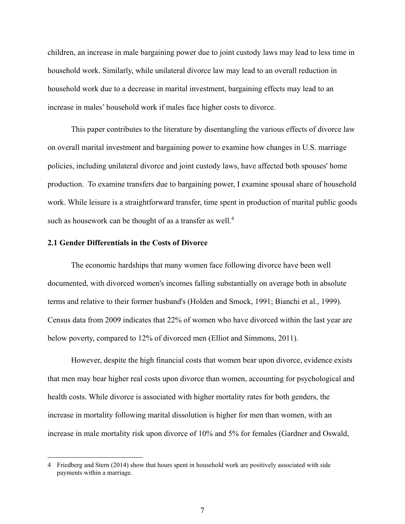children, an increase in male bargaining power due to joint custody laws may lead to less time in household work. Similarly, while unilateral divorce law may lead to an overall reduction in household work due to a decrease in marital investment, bargaining effects may lead to an increase in males' household work if males face higher costs to divorce.

 This paper contributes to the literature by disentangling the various effects of divorce law on overall marital investment and bargaining power to examine how changes in U.S. marriage policies, including unilateral divorce and joint custody laws, have affected both spouses' home production. To examine transfers due to bargaining power, I examine spousal share of household work. While leisure is a straightforward transfer, time spent in production of marital public goods such as housework can be thought of as a transfer as well.<sup>4</sup>

#### **2.1 Gender Differentials in the Costs of Divorce**

 $\overline{a}$ 

 The economic hardships that many women face following divorce have been well documented, with divorced women's incomes falling substantially on average both in absolute terms and relative to their former husband's (Holden and Smock, 1991; Bianchi et al., 1999). Census data from 2009 indicates that 22% of women who have divorced within the last year are below poverty, compared to 12% of divorced men (Elliot and Simmons, 2011).

 However, despite the high financial costs that women bear upon divorce, evidence exists that men may bear higher real costs upon divorce than women, accounting for psychological and health costs. While divorce is associated with higher mortality rates for both genders, the increase in mortality following marital dissolution is higher for men than women, with an increase in male mortality risk upon divorce of 10% and 5% for females (Gardner and Oswald,

<sup>4</sup> Friedberg and Stern (2014) show that hours spent in household work are positively associated with side payments within a marriage.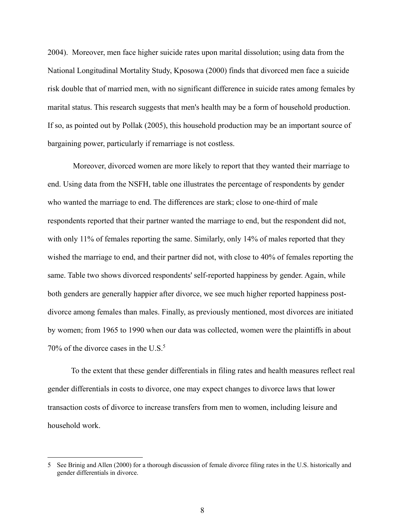2004). Moreover, men face higher suicide rates upon marital dissolution; using data from the National Longitudinal Mortality Study, Kposowa (2000) finds that divorced men face a suicide risk double that of married men, with no significant difference in suicide rates among females by marital status. This research suggests that men's health may be a form of household production. If so, as pointed out by Pollak (2005), this household production may be an important source of bargaining power, particularly if remarriage is not costless.

 Moreover, divorced women are more likely to report that they wanted their marriage to end. Using data from the NSFH, table one illustrates the percentage of respondents by gender who wanted the marriage to end. The differences are stark; close to one-third of male respondents reported that their partner wanted the marriage to end, but the respondent did not, with only 11% of females reporting the same. Similarly, only 14% of males reported that they wished the marriage to end, and their partner did not, with close to 40% of females reporting the same. Table two shows divorced respondents' self-reported happiness by gender. Again, while both genders are generally happier after divorce, we see much higher reported happiness postdivorce among females than males. Finally, as previously mentioned, most divorces are initiated by women; from 1965 to 1990 when our data was collected, women were the plaintiffs in about 70% of the divorce cases in the U.S. $5$ 

To the extent that these gender differentials in filing rates and health measures reflect real gender differentials in costs to divorce, one may expect changes to divorce laws that lower transaction costs of divorce to increase transfers from men to women, including leisure and household work.

 $\overline{a}$ 

<sup>5</sup> See Brinig and Allen (2000) for a thorough discussion of female divorce filing rates in the U.S. historically and gender differentials in divorce.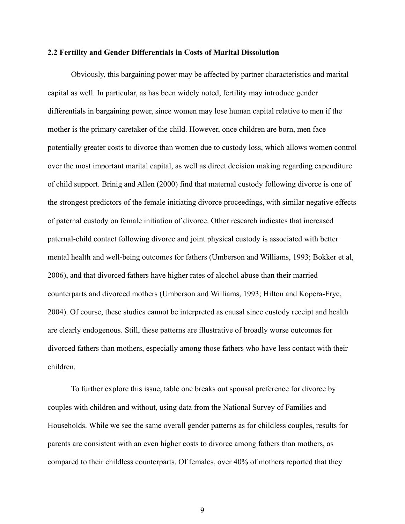#### **2.2 Fertility and Gender Differentials in Costs of Marital Dissolution**

 Obviously, this bargaining power may be affected by partner characteristics and marital capital as well. In particular, as has been widely noted, fertility may introduce gender differentials in bargaining power, since women may lose human capital relative to men if the mother is the primary caretaker of the child. However, once children are born, men face potentially greater costs to divorce than women due to custody loss, which allows women control over the most important marital capital, as well as direct decision making regarding expenditure of child support. Brinig and Allen (2000) find that maternal custody following divorce is one of the strongest predictors of the female initiating divorce proceedings, with similar negative effects of paternal custody on female initiation of divorce. Other research indicates that increased paternal-child contact following divorce and joint physical custody is associated with better mental health and well-being outcomes for fathers (Umberson and Williams, 1993; Bokker et al, 2006), and that divorced fathers have higher rates of alcohol abuse than their married counterparts and divorced mothers (Umberson and Williams, 1993; Hilton and Kopera-Frye, 2004). Of course, these studies cannot be interpreted as causal since custody receipt and health are clearly endogenous. Still, these patterns are illustrative of broadly worse outcomes for divorced fathers than mothers, especially among those fathers who have less contact with their children.

 To further explore this issue, table one breaks out spousal preference for divorce by couples with children and without, using data from the National Survey of Families and Households. While we see the same overall gender patterns as for childless couples, results for parents are consistent with an even higher costs to divorce among fathers than mothers, as compared to their childless counterparts. Of females, over 40% of mothers reported that they

9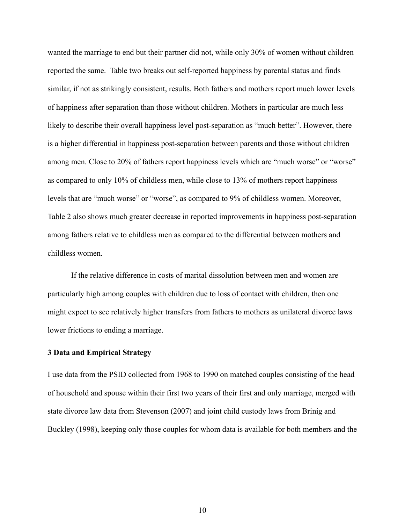wanted the marriage to end but their partner did not, while only 30% of women without children reported the same. Table two breaks out self-reported happiness by parental status and finds similar, if not as strikingly consistent, results. Both fathers and mothers report much lower levels of happiness after separation than those without children. Mothers in particular are much less likely to describe their overall happiness level post-separation as "much better". However, there is a higher differential in happiness post-separation between parents and those without children among men. Close to 20% of fathers report happiness levels which are "much worse" or "worse" as compared to only 10% of childless men, while close to 13% of mothers report happiness levels that are "much worse" or "worse", as compared to 9% of childless women. Moreover, Table 2 also shows much greater decrease in reported improvements in happiness post-separation among fathers relative to childless men as compared to the differential between mothers and childless women.

 If the relative difference in costs of marital dissolution between men and women are particularly high among couples with children due to loss of contact with children, then one might expect to see relatively higher transfers from fathers to mothers as unilateral divorce laws lower frictions to ending a marriage.

#### **3 Data and Empirical Strategy**

I use data from the PSID collected from 1968 to 1990 on matched couples consisting of the head of household and spouse within their first two years of their first and only marriage, merged with state divorce law data from Stevenson (2007) and joint child custody laws from Brinig and Buckley (1998), keeping only those couples for whom data is available for both members and the

10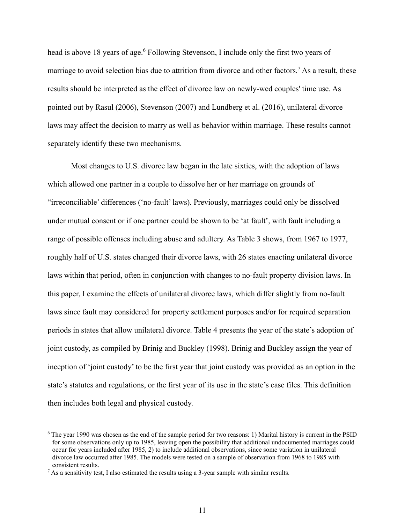head is above 18 years of age.<sup>6</sup> Following Stevenson, I include only the first two years of marriage to avoid selection bias due to attrition from divorce and other factors.<sup>7</sup> As a result, these results should be interpreted as the effect of divorce law on newly-wed couples' time use. As pointed out by Rasul (2006), Stevenson (2007) and Lundberg et al. (2016), unilateral divorce laws may affect the decision to marry as well as behavior within marriage. These results cannot separately identify these two mechanisms.

 Most changes to U.S. divorce law began in the late sixties, with the adoption of laws which allowed one partner in a couple to dissolve her or her marriage on grounds of "irreconciliable' differences ('no-fault' laws). Previously, marriages could only be dissolved under mutual consent or if one partner could be shown to be 'at fault', with fault including a range of possible offenses including abuse and adultery. As Table 3 shows, from 1967 to 1977, roughly half of U.S. states changed their divorce laws, with 26 states enacting unilateral divorce laws within that period, often in conjunction with changes to no-fault property division laws. In this paper, I examine the effects of unilateral divorce laws, which differ slightly from no-fault laws since fault may considered for property settlement purposes and/or for required separation periods in states that allow unilateral divorce. Table 4 presents the year of the state's adoption of joint custody, as compiled by Brinig and Buckley (1998). Brinig and Buckley assign the year of inception of 'joint custody' to be the first year that joint custody was provided as an option in the state's statutes and regulations, or the first year of its use in the state's case files. This definition then includes both legal and physical custody.

 $\overline{a}$ 

<sup>6</sup> The year 1990 was chosen as the end of the sample period for two reasons: 1) Marital history is current in the PSID for some observations only up to 1985, leaving open the possibility that additional undocumented marriages could occur for years included after 1985, 2) to include additional observations, since some variation in unilateral divorce law occurred after 1985. The models were tested on a sample of observation from 1968 to 1985 with consistent results.

 $<sup>7</sup>$  As a sensitivity test, I also estimated the results using a 3-year sample with similar results.</sup>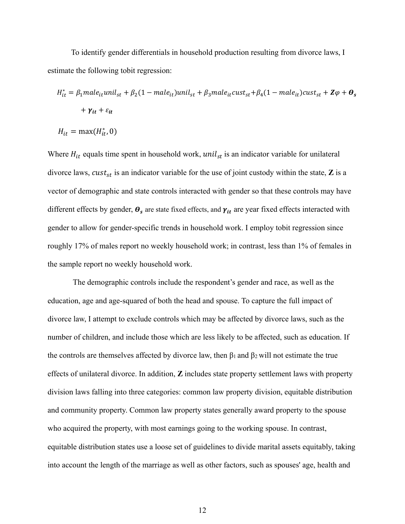To identify gender differentials in household production resulting from divorce laws, I estimate the following tobit regression:

$$
H_{it}^* = \beta_1 male_{it}unil_{st} + \beta_2 (1 - male_{it})unil_{st} + \beta_3 male_{it}cust_{st} + \beta_4 (1 - male_{it})cust_{st} + \mathbf{Z}\varphi + \boldsymbol{\theta}_s
$$

$$
+ \boldsymbol{\gamma}_{it} + \varepsilon_{it}
$$

$$
H_{it} = \max(H_{it}^*, 0)
$$

Where  $H_{it}$  equals time spent in household work,  $unil_{st}$  is an indicator variable for unilateral divorce laws,  $\text{cust}_{\text{st}}$  is an indicator variable for the use of joint custody within the state, **Z** is a vector of demographic and state controls interacted with gender so that these controls may have different effects by gender,  $\theta_s$  are state fixed effects, and  $\gamma_{it}$  are year fixed effects interacted with gender to allow for gender-specific trends in household work. I employ tobit regression since roughly 17% of males report no weekly household work; in contrast, less than 1% of females in the sample report no weekly household work.

 The demographic controls include the respondent's gender and race, as well as the education, age and age-squared of both the head and spouse. To capture the full impact of divorce law, I attempt to exclude controls which may be affected by divorce laws, such as the number of children, and include those which are less likely to be affected, such as education. If the controls are themselves affected by divorce law, then  $\beta_1$  and  $\beta_2$  will not estimate the true effects of unilateral divorce. In addition, **Z** includes state property settlement laws with property division laws falling into three categories: common law property division, equitable distribution and community property. Common law property states generally award property to the spouse who acquired the property, with most earnings going to the working spouse. In contrast, equitable distribution states use a loose set of guidelines to divide marital assets equitably, taking into account the length of the marriage as well as other factors, such as spouses' age, health and

12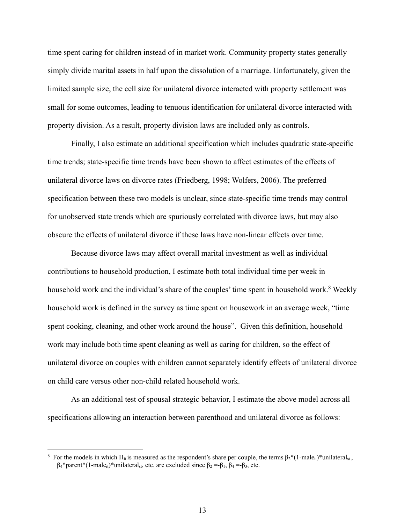time spent caring for children instead of in market work. Community property states generally simply divide marital assets in half upon the dissolution of a marriage. Unfortunately, given the limited sample size, the cell size for unilateral divorce interacted with property settlement was small for some outcomes, leading to tenuous identification for unilateral divorce interacted with property division. As a result, property division laws are included only as controls.

 Finally, I also estimate an additional specification which includes quadratic state-specific time trends; state-specific time trends have been shown to affect estimates of the effects of unilateral divorce laws on divorce rates (Friedberg, 1998; Wolfers, 2006). The preferred specification between these two models is unclear, since state-specific time trends may control for unobserved state trends which are spuriously correlated with divorce laws, but may also obscure the effects of unilateral divorce if these laws have non-linear effects over time.

 Because divorce laws may affect overall marital investment as well as individual contributions to household production, I estimate both total individual time per week in household work and the individual's share of the couples' time spent in household work.<sup>8</sup> Weekly household work is defined in the survey as time spent on housework in an average week, "time spent cooking, cleaning, and other work around the house". Given this definition, household work may include both time spent cleaning as well as caring for children, so the effect of unilateral divorce on couples with children cannot separately identify effects of unilateral divorce on child care versus other non-child related household work.

 As an additional test of spousal strategic behavior, I estimate the above model across all specifications allowing an interaction between parenthood and unilateral divorce as follows:

 $\overline{a}$ 

<sup>&</sup>lt;sup>8</sup> For the models in which H<sub>it</sub> is measured as the respondent's share per couple, the terms  $\beta_2^*(1\text{-male}_{it})^*$ unilateral<sub>st</sub>,  $\beta_4^*$ parent\*(1-male<sub>it</sub>)\*unilateral<sub>st</sub>, etc. are excluded since  $\beta_2 = -\beta_1$ ,  $\beta_4 = -\beta_3$ , etc.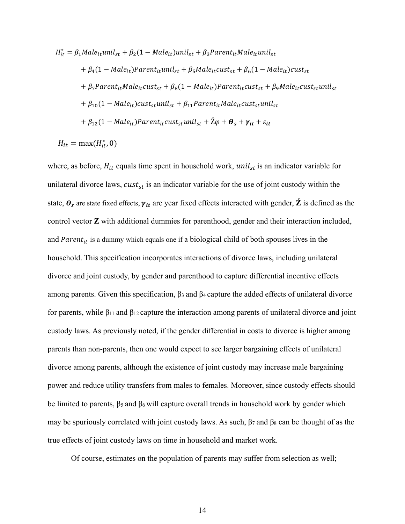$$
H_{it}^{*} = \beta_{1} Male_{it} will_{st} + \beta_{2} (1 - Male_{it}) unil_{st} + \beta_{3} Parent_{it} Male_{it} unil_{st}
$$
  
+  $\beta_{4} (1 - Male_{it}) Parent_{it} unil_{st} + \beta_{5} Male_{it} cust_{st} + \beta_{6} (1 - Male_{it}) cust_{st}$   
+  $\beta_{7} Parent_{it} Male_{it} cust_{st} + \beta_{8} (1 - Male_{it}) Parent_{it} cust_{st} + \beta_{9} Male_{it} cust_{st} unil_{st}$   
+  $\beta_{10} (1 - Male_{it}) cust_{st} unil_{st} + \beta_{11} Parent_{it} Male_{it} cust_{st} unil_{st}$   
+  $\beta_{12} (1 - Male_{it}) Parent_{it} cust_{st} unil_{st} + \hat{Z}\varphi + \theta_{s} + \gamma_{it} + \varepsilon_{it}$   

$$
H_{it} = max(H_{it}^{*}, 0)
$$

where, as before,  $H_{it}$  equals time spent in household work,  $unil_{st}$  is an indicator variable for unilateral divorce laws,  $\textit{cust}_{\textit{st}}$  is an indicator variable for the use of joint custody within the state,  $\theta_s$  are state fixed effects,  $\gamma_{it}$  are year fixed effects interacted with gender,  $\dot{Z}$  is defined as the control vector **Z** with additional dummies for parenthood, gender and their interaction included, and Parent<sub>it</sub> is a dummy which equals one if a biological child of both spouses lives in the household. This specification incorporates interactions of divorce laws, including unilateral divorce and joint custody, by gender and parenthood to capture differential incentive effects among parents. Given this specification,  $β_3$  and  $β_4$  capture the added effects of unilateral divorce for parents, while  $\beta_{11}$  and  $\beta_{12}$  capture the interaction among parents of unilateral divorce and joint custody laws. As previously noted, if the gender differential in costs to divorce is higher among parents than non-parents, then one would expect to see larger bargaining effects of unilateral divorce among parents, although the existence of joint custody may increase male bargaining power and reduce utility transfers from males to females. Moreover, since custody effects should be limited to parents, β<sup>5</sup> and β6 will capture overall trends in household work by gender which may be spuriously correlated with joint custody laws. As such,  $\beta$ 7 and  $\beta$ 8 can be thought of as the true effects of joint custody laws on time in household and market work.

Of course, estimates on the population of parents may suffer from selection as well;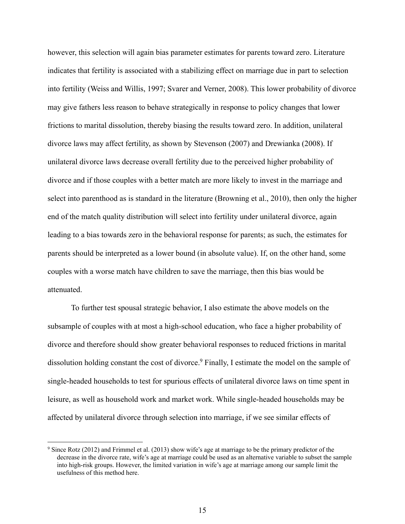however, this selection will again bias parameter estimates for parents toward zero. Literature indicates that fertility is associated with a stabilizing effect on marriage due in part to selection into fertility (Weiss and Willis, 1997; Svarer and Verner, 2008). This lower probability of divorce may give fathers less reason to behave strategically in response to policy changes that lower frictions to marital dissolution, thereby biasing the results toward zero. In addition, unilateral divorce laws may affect fertility, as shown by Stevenson (2007) and Drewianka (2008). If unilateral divorce laws decrease overall fertility due to the perceived higher probability of divorce and if those couples with a better match are more likely to invest in the marriage and select into parenthood as is standard in the literature (Browning et al., 2010), then only the higher end of the match quality distribution will select into fertility under unilateral divorce, again leading to a bias towards zero in the behavioral response for parents; as such, the estimates for parents should be interpreted as a lower bound (in absolute value). If, on the other hand, some couples with a worse match have children to save the marriage, then this bias would be attenuated.

 To further test spousal strategic behavior, I also estimate the above models on the subsample of couples with at most a high-school education, who face a higher probability of divorce and therefore should show greater behavioral responses to reduced frictions in marital dissolution holding constant the cost of divorce.<sup>9</sup> Finally, I estimate the model on the sample of single-headed households to test for spurious effects of unilateral divorce laws on time spent in leisure, as well as household work and market work. While single-headed households may be affected by unilateral divorce through selection into marriage, if we see similar effects of

 $\overline{a}$ 

<sup>&</sup>lt;sup>9</sup> Since Rotz (2012) and Frimmel et al. (2013) show wife's age at marriage to be the primary predictor of the decrease in the divorce rate, wife's age at marriage could be used as an alternative variable to subset the sample into high-risk groups. However, the limited variation in wife's age at marriage among our sample limit the usefulness of this method here.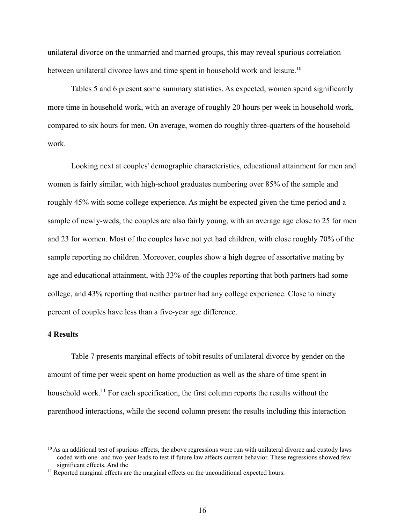unilateral divorce on the unmarried and married groups, this may reveal spurious correlation between unilateral divorce laws and time spent in household work and leisure.<sup>10</sup>

Tables 5 and 6 present some summary statistics. As expected, women spend significantly more time in household work, with an average of roughly 20 hours per week in household work, compared to six hours for men. On average, women do roughly three-quarters of the household work.

 Looking next at couples' demographic characteristics, educational attainment for men and women is fairly similar, with high-school graduates numbering over 85% of the sample and roughly 45% with some college experience. As might be expected given the time period and a sample of newly-weds, the couples are also fairly young, with an average age close to 25 for men and 23 for women. Most of the couples have not yet had children, with close roughly 70% of the sample reporting no children. Moreover, couples show a high degree of assortative mating by age and educational attainment, with 33% of the couples reporting that both partners had some college, and 43% reporting that neither partner had any college experience. Close to ninety percent of couples have less than a five-year age difference.

#### **4 Results**

 $\overline{a}$ 

 Table 7 presents marginal effects of tobit results of unilateral divorce by gender on the amount of time per week spent on home production as well as the share of time spent in household work.<sup>11</sup> For each specification, the first column reports the results without the parenthood interactions, while the second column present the results including this interaction

 $10$  As an additional test of spurious effects, the above regressions were run with unilateral divorce and custody laws coded with one- and two-year leads to test if future law affects current behavior. These regressions showed few significant effects. And the 11 Reported marginal effects are the marginal effects on the unconditional expected hours.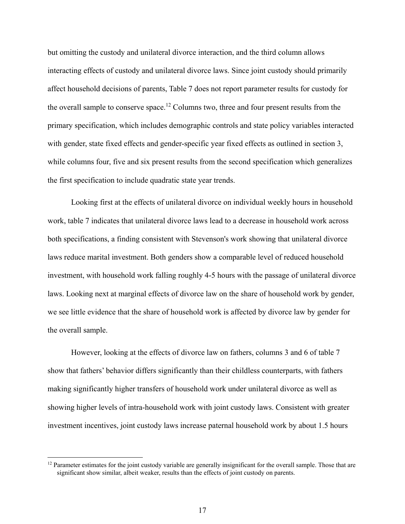but omitting the custody and unilateral divorce interaction, and the third column allows interacting effects of custody and unilateral divorce laws. Since joint custody should primarily affect household decisions of parents, Table 7 does not report parameter results for custody for the overall sample to conserve space.<sup>12</sup> Columns two, three and four present results from the primary specification, which includes demographic controls and state policy variables interacted with gender, state fixed effects and gender-specific year fixed effects as outlined in section 3, while columns four, five and six present results from the second specification which generalizes the first specification to include quadratic state year trends.

 Looking first at the effects of unilateral divorce on individual weekly hours in household work, table 7 indicates that unilateral divorce laws lead to a decrease in household work across both specifications, a finding consistent with Stevenson's work showing that unilateral divorce laws reduce marital investment. Both genders show a comparable level of reduced household investment, with household work falling roughly 4-5 hours with the passage of unilateral divorce laws. Looking next at marginal effects of divorce law on the share of household work by gender, we see little evidence that the share of household work is affected by divorce law by gender for the overall sample.

However, looking at the effects of divorce law on fathers, columns 3 and 6 of table 7 show that fathers' behavior differs significantly than their childless counterparts, with fathers making significantly higher transfers of household work under unilateral divorce as well as showing higher levels of intra-household work with joint custody laws. Consistent with greater investment incentives, joint custody laws increase paternal household work by about 1.5 hours

 $\overline{a}$ 

<sup>&</sup>lt;sup>12</sup> Parameter estimates for the joint custody variable are generally insignificant for the overall sample. Those that are significant show similar, albeit weaker, results than the effects of joint custody on parents.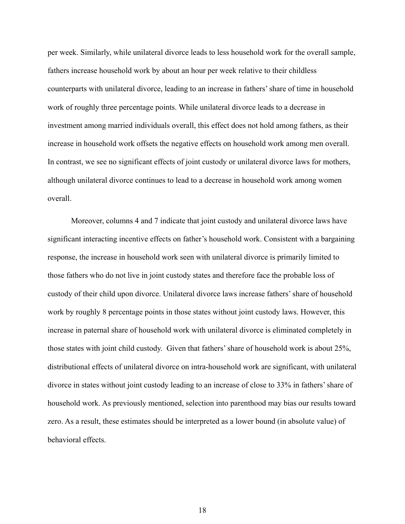per week. Similarly, while unilateral divorce leads to less household work for the overall sample, fathers increase household work by about an hour per week relative to their childless counterparts with unilateral divorce, leading to an increase in fathers' share of time in household work of roughly three percentage points. While unilateral divorce leads to a decrease in investment among married individuals overall, this effect does not hold among fathers, as their increase in household work offsets the negative effects on household work among men overall. In contrast, we see no significant effects of joint custody or unilateral divorce laws for mothers, although unilateral divorce continues to lead to a decrease in household work among women overall.

Moreover, columns 4 and 7 indicate that joint custody and unilateral divorce laws have significant interacting incentive effects on father's household work. Consistent with a bargaining response, the increase in household work seen with unilateral divorce is primarily limited to those fathers who do not live in joint custody states and therefore face the probable loss of custody of their child upon divorce. Unilateral divorce laws increase fathers' share of household work by roughly 8 percentage points in those states without joint custody laws. However, this increase in paternal share of household work with unilateral divorce is eliminated completely in those states with joint child custody. Given that fathers' share of household work is about 25%, distributional effects of unilateral divorce on intra-household work are significant, with unilateral divorce in states without joint custody leading to an increase of close to 33% in fathers' share of household work. As previously mentioned, selection into parenthood may bias our results toward zero. As a result, these estimates should be interpreted as a lower bound (in absolute value) of behavioral effects.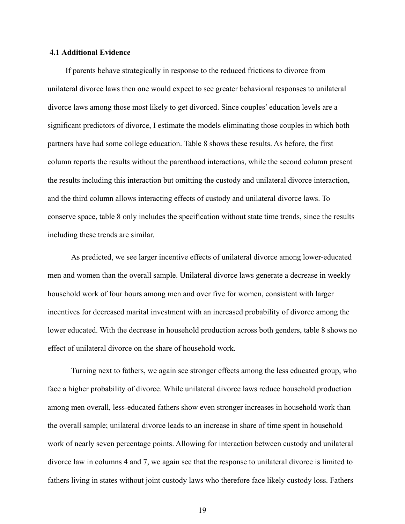#### **4.1 Additional Evidence**

 If parents behave strategically in response to the reduced frictions to divorce from unilateral divorce laws then one would expect to see greater behavioral responses to unilateral divorce laws among those most likely to get divorced. Since couples' education levels are a significant predictors of divorce, I estimate the models eliminating those couples in which both partners have had some college education. Table 8 shows these results. As before, the first column reports the results without the parenthood interactions, while the second column present the results including this interaction but omitting the custody and unilateral divorce interaction, and the third column allows interacting effects of custody and unilateral divorce laws. To conserve space, table 8 only includes the specification without state time trends, since the results including these trends are similar.

 As predicted, we see larger incentive effects of unilateral divorce among lower-educated men and women than the overall sample. Unilateral divorce laws generate a decrease in weekly household work of four hours among men and over five for women, consistent with larger incentives for decreased marital investment with an increased probability of divorce among the lower educated. With the decrease in household production across both genders, table 8 shows no effect of unilateral divorce on the share of household work.

 Turning next to fathers, we again see stronger effects among the less educated group, who face a higher probability of divorce. While unilateral divorce laws reduce household production among men overall, less-educated fathers show even stronger increases in household work than the overall sample; unilateral divorce leads to an increase in share of time spent in household work of nearly seven percentage points. Allowing for interaction between custody and unilateral divorce law in columns 4 and 7, we again see that the response to unilateral divorce is limited to fathers living in states without joint custody laws who therefore face likely custody loss. Fathers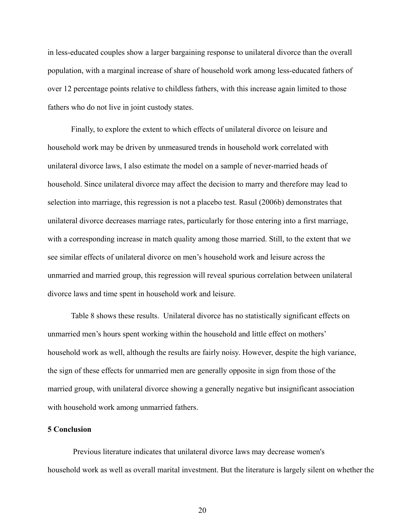in less-educated couples show a larger bargaining response to unilateral divorce than the overall population, with a marginal increase of share of household work among less-educated fathers of over 12 percentage points relative to childless fathers, with this increase again limited to those fathers who do not live in joint custody states.

 Finally, to explore the extent to which effects of unilateral divorce on leisure and household work may be driven by unmeasured trends in household work correlated with unilateral divorce laws, I also estimate the model on a sample of never-married heads of household. Since unilateral divorce may affect the decision to marry and therefore may lead to selection into marriage, this regression is not a placebo test. Rasul (2006b) demonstrates that unilateral divorce decreases marriage rates, particularly for those entering into a first marriage, with a corresponding increase in match quality among those married. Still, to the extent that we see similar effects of unilateral divorce on men's household work and leisure across the unmarried and married group, this regression will reveal spurious correlation between unilateral divorce laws and time spent in household work and leisure.

Table 8 shows these results. Unilateral divorce has no statistically significant effects on unmarried men's hours spent working within the household and little effect on mothers' household work as well, although the results are fairly noisy. However, despite the high variance, the sign of these effects for unmarried men are generally opposite in sign from those of the married group, with unilateral divorce showing a generally negative but insignificant association with household work among unmarried fathers.

#### **5 Conclusion**

 Previous literature indicates that unilateral divorce laws may decrease women's household work as well as overall marital investment. But the literature is largely silent on whether the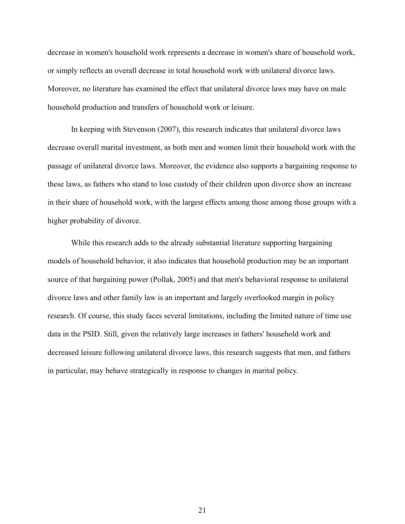decrease in women's household work represents a decrease in women's share of household work, or simply reflects an overall decrease in total household work with unilateral divorce laws. Moreover, no literature has examined the effect that unilateral divorce laws may have on male household production and transfers of household work or leisure.

 In keeping with Stevenson (2007), this research indicates that unilateral divorce laws decrease overall marital investment, as both men and women limit their household work with the passage of unilateral divorce laws. Moreover, the evidence also supports a bargaining response to these laws, as fathers who stand to lose custody of their children upon divorce show an increase in their share of household work, with the largest effects among those among those groups with a higher probability of divorce.

 While this research adds to the already substantial literature supporting bargaining models of household behavior, it also indicates that household production may be an important source of that bargaining power (Pollak, 2005) and that men's behavioral response to unilateral divorce laws and other family law is an important and largely overlooked margin in policy research. Of course, this study faces several limitations, including the limited nature of time use data in the PSID. Still, given the relatively large increases in fathers' household work and decreased leisure following unilateral divorce laws, this research suggests that men, and fathers in particular, may behave strategically in response to changes in marital policy.

21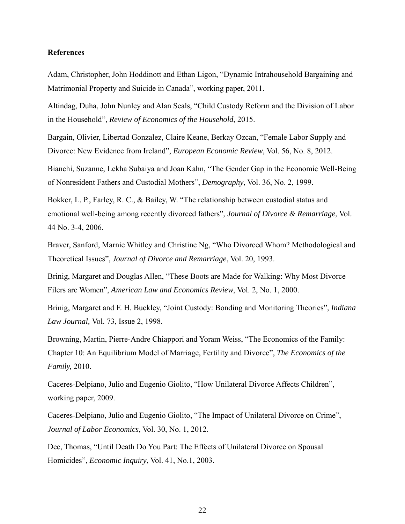#### **References**

Adam, Christopher, John Hoddinott and Ethan Ligon, "Dynamic Intrahousehold Bargaining and Matrimonial Property and Suicide in Canada", working paper, 2011.

Altindag, Duha, John Nunley and Alan Seals, "Child Custody Reform and the Division of Labor in the Household", *Review of Economics of the Household*, 2015.

Bargain, Olivier, Libertad Gonzalez, Claire Keane, Berkay Ozcan, "Female Labor Supply and Divorce: New Evidence from Ireland", *European Economic Review*, Vol. 56, No. 8, 2012.

Bianchi, Suzanne, Lekha Subaiya and Joan Kahn, "The Gender Gap in the Economic Well-Being of Nonresident Fathers and Custodial Mothers", *Demography*, Vol. 36, No. 2, 1999.

Bokker, L. P., Farley, R. C., & Bailey, W. "The relationship between custodial status and emotional well-being among recently divorced fathers", *Journal of Divorce & Remarriage*, Vol. 44 No. 3-4, 2006.

Braver, Sanford, Marnie Whitley and Christine Ng, "Who Divorced Whom? Methodological and Theoretical Issues", *Journal of Divorce and Remarriage*, Vol. 20, 1993.

Brinig, Margaret and Douglas Allen, "These Boots are Made for Walking: Why Most Divorce Filers are Women", *American Law and Economics Review*, Vol. 2, No. 1, 2000.

Brinig, Margaret and F. H. Buckley, "Joint Custody: Bonding and Monitoring Theories", *Indiana Law Journal,* Vol. 73, Issue 2, 1998.

Browning, Martin, Pierre-Andre Chiappori and Yoram Weiss, "The Economics of the Family: Chapter 10: An Equilibrium Model of Marriage, Fertility and Divorce", *The Economics of the Family,* 2010.

Caceres-Delpiano, Julio and Eugenio Giolito, "How Unilateral Divorce Affects Children", working paper, 2009.

Caceres-Delpiano, Julio and Eugenio Giolito, "The Impact of Unilateral Divorce on Crime", *Journal of Labor Economics*, Vol. 30, No. 1, 2012.

Dee, Thomas, "Until Death Do You Part: The Effects of Unilateral Divorce on Spousal Homicides", *Economic Inquiry*, Vol. 41, No.1, 2003.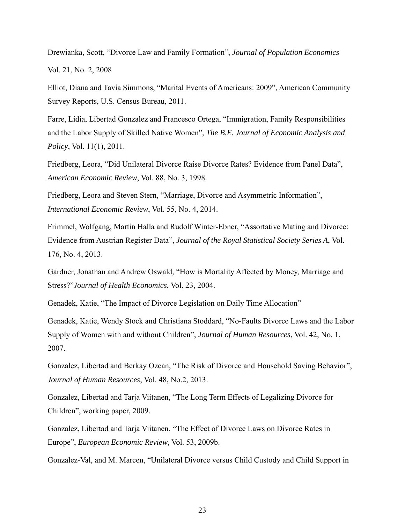Drewianka, Scott, "Divorce Law and Family Formation", *Journal of Population Economics* Vol. 21, No. 2, 2008

Elliot, Diana and Tavia Simmons, "Marital Events of Americans: 2009", American Community Survey Reports, U.S. Census Bureau, 2011.

Farre, Lidia, Libertad Gonzalez and Francesco Ortega, "Immigration, Family Responsibilities and the Labor Supply of Skilled Native Women", *The B.E. Journal of Economic Analysis and Policy*, Vol. 11(1), 2011.

Friedberg, Leora, "Did Unilateral Divorce Raise Divorce Rates? Evidence from Panel Data", *American Economic Review*, Vol. 88, No. 3, 1998.

Friedberg, Leora and Steven Stern, "Marriage, Divorce and Asymmetric Information", *International Economic Review*, Vol. 55, No. 4, 2014.

Frimmel, Wolfgang, Martin Halla and Rudolf Winter-Ebner, "Assortative Mating and Divorce: Evidence from Austrian Register Data", *Journal of the Royal Statistical Society Series A*, Vol. 176, No. 4, 2013.

Gardner, Jonathan and Andrew Oswald, "How is Mortality Affected by Money, Marriage and Stress?"*Journal of Health Economics*, Vol. 23, 2004.

Genadek, Katie, "The Impact of Divorce Legislation on Daily Time Allocation"

Genadek, Katie, Wendy Stock and Christiana Stoddard, "No-Faults Divorce Laws and the Labor Supply of Women with and without Children", *Journal of Human Resources*, Vol. 42, No. 1, 2007.

Gonzalez, Libertad and Berkay Ozcan, "The Risk of Divorce and Household Saving Behavior", *Journal of Human Resources*, Vol. 48, No.2, 2013.

Gonzalez, Libertad and Tarja Viitanen, "The Long Term Effects of Legalizing Divorce for Children", working paper, 2009.

Gonzalez, Libertad and Tarja Viitanen, "The Effect of Divorce Laws on Divorce Rates in Europe", *European Economic Review*, Vol. 53, 2009b.

Gonzalez-Val, and M. Marcen, "Unilateral Divorce versus Child Custody and Child Support in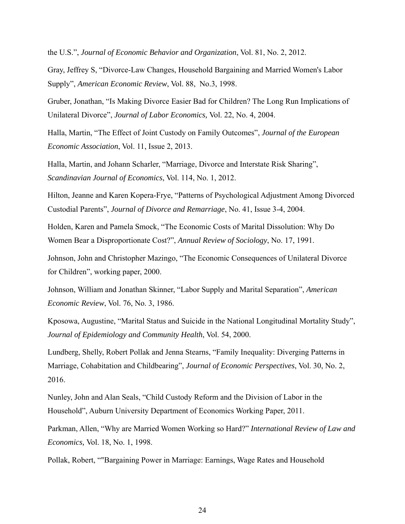the U.S.", *Journal of Economic Behavior and Organization*, Vol. 81, No. 2, 2012.

Gray, Jeffrey S, "Divorce-Law Changes, Household Bargaining and Married Women's Labor Supply", *American Economic Review*, Vol. 88, No.3, 1998.

Gruber, Jonathan, "Is Making Divorce Easier Bad for Children? The Long Run Implications of Unilateral Divorce", *Journal of Labor Economics,* Vol. 22, No. 4, 2004.

Halla, Martin, "The Effect of Joint Custody on Family Outcomes", *Journal of the European Economic Association*, Vol. 11, Issue 2, 2013.

Halla, Martin, and Johann Scharler, "Marriage, Divorce and Interstate Risk Sharing", *Scandinavian Journal of Economics*, Vol. 114, No. 1, 2012.

Hilton, Jeanne and Karen Kopera-Frye, "Patterns of Psychological Adjustment Among Divorced Custodial Parents", *Journal of Divorce and Remarriage*, No. 41, Issue 3-4, 2004.

Holden, Karen and Pamela Smock, "The Economic Costs of Marital Dissolution: Why Do Women Bear a Disproportionate Cost?", *Annual Review of Sociology*, No. 17, 1991.

Johnson, John and Christopher Mazingo, "The Economic Consequences of Unilateral Divorce for Children", working paper, 2000.

Johnson, William and Jonathan Skinner, "Labor Supply and Marital Separation", *American Economic Review*, Vol. 76, No. 3, 1986.

Kposowa, Augustine, "Marital Status and Suicide in the National Longitudinal Mortality Study", *Journal of Epidemiology and Community Health*, Vol. 54, 2000.

Lundberg, Shelly, Robert Pollak and Jenna Stearns, "Family Inequality: Diverging Patterns in Marriage, Cohabitation and Childbearing", *Journal of Economic Perspectives*, Vol. 30, No. 2, 2016.

Nunley, John and Alan Seals, "Child Custody Reform and the Division of Labor in the Household", Auburn University Department of Economics Working Paper, 2011.

Parkman, Allen, "Why are Married Women Working so Hard?" *International Review of Law and Economics,* Vol. 18, No. 1, 1998.

Pollak, Robert, ""Bargaining Power in Marriage: Earnings, Wage Rates and Household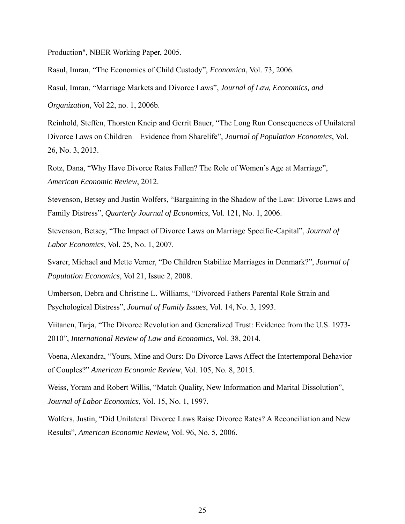Production", NBER Working Paper, 2005.

Rasul, Imran, "The Economics of Child Custody", *Economica*, Vol. 73, 2006.

Rasul, Imran, "Marriage Markets and Divorce Laws", *Journal of Law, Economics, and* 

*Organization*, Vol 22, no. 1, 2006b.

Reinhold, Steffen, Thorsten Kneip and Gerrit Bauer, "The Long Run Consequences of Unilateral Divorce Laws on Children—Evidence from Sharelife", *Journal of Population Economics*, Vol. 26, No. 3, 2013.

Rotz, Dana, "Why Have Divorce Rates Fallen? The Role of Women's Age at Marriage", *American Economic Review*, 2012.

Stevenson, Betsey and Justin Wolfers, "Bargaining in the Shadow of the Law: Divorce Laws and Family Distress", *Quarterly Journal of Economics*, Vol. 121, No. 1, 2006.

Stevenson, Betsey, "The Impact of Divorce Laws on Marriage Specific-Capital", *Journal of Labor Economics*, Vol. 25, No. 1, 2007.

Svarer, Michael and Mette Verner, "Do Children Stabilize Marriages in Denmark?", *Journal of Population Economics*, Vol 21, Issue 2, 2008.

Umberson, Debra and Christine L. Williams, "Divorced Fathers Parental Role Strain and Psychological Distress", *Journal of Family Issues*, Vol. 14, No. 3, 1993.

Viitanen, Tarja, "The Divorce Revolution and Generalized Trust: Evidence from the U.S. 1973- 2010", *International Review of Law and Economics*, Vol. 38, 2014.

Voena, Alexandra, "Yours, Mine and Ours: Do Divorce Laws Affect the Intertemporal Behavior of Couples?" *American Economic Review*, Vol. 105, No. 8, 2015.

Weiss, Yoram and Robert Willis, "Match Quality, New Information and Marital Dissolution", *Journal of Labor Economics*, Vol. 15, No. 1, 1997.

Wolfers, Justin, "Did Unilateral Divorce Laws Raise Divorce Rates? A Reconciliation and New Results", *American Economic Review,* Vol. 96, No. 5, 2006.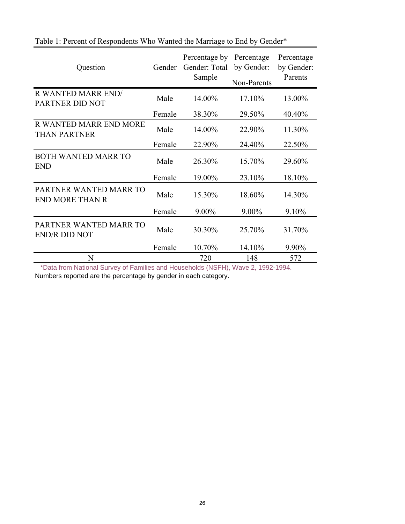| Question                                                                                                                                 | Gender          | Percentage by<br>Gender: Total<br>Sample | Percentage<br>by Gender: | Percentage<br>by Gender:<br>Parents |
|------------------------------------------------------------------------------------------------------------------------------------------|-----------------|------------------------------------------|--------------------------|-------------------------------------|
|                                                                                                                                          |                 |                                          | Non-Parents              |                                     |
| <b>R WANTED MARR END/</b><br>PARTNER DID NOT                                                                                             | Male            | 14.00%                                   | 17.10%                   | 13.00%                              |
|                                                                                                                                          | Female          | 38.30%                                   | 29.50%                   | 40.40%                              |
| R WANTED MARR END MORE<br><b>THAN PARTNER</b>                                                                                            | Male            | 14.00%                                   | 22.90%                   | 11.30%                              |
|                                                                                                                                          | Female          | 22.90%                                   | 24.40%                   | 22.50%                              |
| <b>BOTH WANTED MARR TO</b><br><b>END</b>                                                                                                 | Male            | 26.30%                                   | 15.70%                   | 29.60%                              |
|                                                                                                                                          | Female          | 19.00%                                   | 23.10%                   | 18.10%                              |
| PARTNER WANTED MARR TO<br><b>END MORE THAN R</b>                                                                                         | Male            | 15.30%                                   | 18.60%                   | 14.30%                              |
|                                                                                                                                          | Female          | 9.00%                                    | 9.00%                    | 9.10%                               |
| PARTNER WANTED MARR TO<br><b>END/R DID NOT</b>                                                                                           | Male            | 30.30%                                   | 25.70%                   | 31.70%                              |
|                                                                                                                                          | Female          | 10.70%                                   | 14.10%                   | 9.90%                               |
| N<br>$\mathbf{A}$ . A final set of $\mathbf{A}$ of $\mathbf{A}$<br>$\mathcal{L}$ . The set of the set of $\mathcal{L}$<br>$*$ Definition | $-1$ 1 $-1$ $-$ | 720                                      | 148                      | 572                                 |

### Table 1: Percent of Respondents Who Wanted the Marriage to End by Gender\*

\*Data from National Survey of Families and Households (NSFH), Wave 2, 1992-1994.

Numbers reported are the percentage by gender in each category.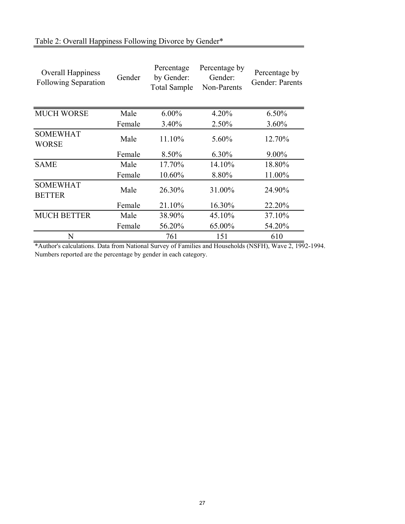| Overall Happiness<br><b>Following Separation</b> | Gender | Percentage<br>by Gender:<br><b>Total Sample</b> | Percentage by<br>Gender:<br>Non-Parents | Percentage by<br>Gender: Parents |
|--------------------------------------------------|--------|-------------------------------------------------|-----------------------------------------|----------------------------------|
| <b>MUCH WORSE</b>                                | Male   | $6.00\%$                                        | 4.20%                                   | $6.50\%$                         |
|                                                  | Female | 3.40%                                           | 2.50%                                   | $3.60\%$                         |
| <b>SOMEWHAT</b><br>WORSE                         | Male   | 11.10%                                          | 5.60%                                   | 12.70%                           |
|                                                  | Female | 8.50%                                           | 6.30%                                   | $9.00\%$                         |
| <b>SAME</b>                                      | Male   | 17.70%                                          | 14.10%                                  | 18.80%                           |
|                                                  | Female | 10.60%                                          | 8.80%                                   | 11.00%                           |
| <b>SOMEWHAT</b><br><b>BETTER</b>                 | Male   | 26.30%                                          | 31.00%                                  | 24.90%                           |
|                                                  | Female | 21.10%                                          | 16.30%                                  | 22.20%                           |
| <b>MUCH BETTER</b>                               | Male   | 38.90%                                          | 45.10%                                  | 37.10%                           |
|                                                  | Female | 56.20%                                          | 65.00%                                  | 54.20%                           |
| N                                                |        | 761                                             | 151                                     | 610                              |

\*Author's calculations. Data from National Survey of Families and Households (NSFH), Wave 2, 1992-1994. Numbers reported are the percentage by gender in each category.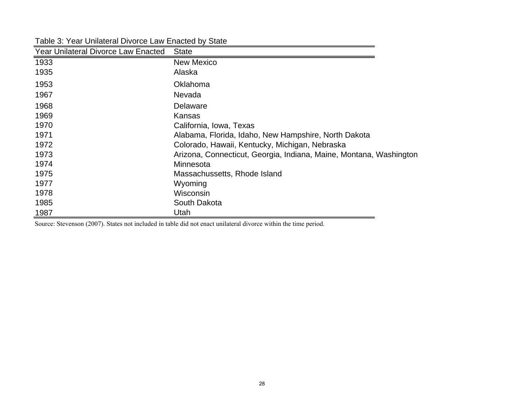| <b>Year Unilateral Divorce Law Enacted</b> | <b>State</b>                                                       |
|--------------------------------------------|--------------------------------------------------------------------|
| 1933                                       | <b>New Mexico</b>                                                  |
| 1935                                       | Alaska                                                             |
| 1953                                       | Oklahoma                                                           |
| 1967                                       | Nevada                                                             |
| 1968                                       | Delaware                                                           |
| 1969                                       | Kansas                                                             |
| 1970                                       | California, Iowa, Texas                                            |
| 1971                                       | Alabama, Florida, Idaho, New Hampshire, North Dakota               |
| 1972                                       | Colorado, Hawaii, Kentucky, Michigan, Nebraska                     |
| 1973                                       | Arizona, Connecticut, Georgia, Indiana, Maine, Montana, Washington |
| 1974                                       | Minnesota                                                          |
| 1975                                       | Massachussetts, Rhode Island                                       |
| 1977                                       | Wyoming                                                            |
| 1978                                       | Wisconsin                                                          |
| 1985                                       | South Dakota                                                       |
| 1987                                       | Utah                                                               |

Table 3: Year Unilateral Divorce Law Enacted by State

Source: Stevenson (2007). States not included in table did not enact unilateral divorce within the time period.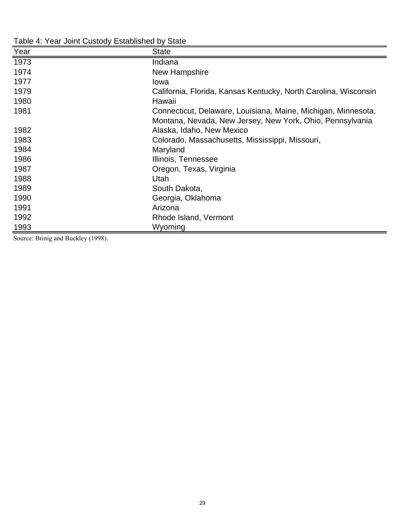| Year | <b>State</b>                                                    |
|------|-----------------------------------------------------------------|
| 1973 | Indiana                                                         |
| 1974 | New Hampshire                                                   |
| 1977 | lowa                                                            |
| 1979 | California, Florida, Kansas Kentucky, North Carolina, Wisconsin |
| 1980 | Hawaii                                                          |
| 1981 | Connecticut, Delaware, Louisiana, Maine, Michigan, Minnesota,   |
|      | Montana, Nevada, New Jersey, New York, Ohio, Pennsylvania       |
| 1982 | Alaska, Idaho, New Mexico                                       |
| 1983 | Colorado, Massachusetts, Mississippi, Missouri,                 |
| 1984 | Maryland                                                        |
| 1986 | Illinois, Tennessee                                             |
| 1987 | Oregon, Texas, Virginia                                         |
| 1988 | Utah                                                            |
| 1989 | South Dakota,                                                   |
| 1990 | Georgia, Oklahoma                                               |
| 1991 | Arizona                                                         |
| 1992 | Rhode Island, Vermont                                           |
| 1993 | Wyoming                                                         |

Table 4: Year Joint Custody Established by State

Source: Brinig and Buckley (1998).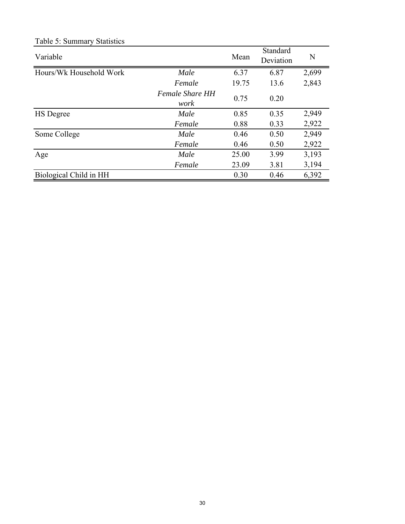| Variable                |                                | Mean  | Standard<br>Deviation | N     |
|-------------------------|--------------------------------|-------|-----------------------|-------|
| Hours/Wk Household Work | Male                           | 6.37  | 6.87                  | 2,699 |
|                         | Female                         | 19.75 | 13.6                  | 2,843 |
|                         | <b>Female Share HH</b><br>work | 0.75  | 0.20                  |       |
| <b>HS</b> Degree        | Male                           | 0.85  | 0.35                  | 2,949 |
|                         | Female                         | 0.88  | 0.33                  | 2,922 |
| Some College            | Male                           | 0.46  | 0.50                  | 2,949 |
|                         | Female                         | 0.46  | 0.50                  | 2,922 |
| Age                     | Male                           | 25.00 | 3.99                  | 3,193 |
|                         | Female                         | 23.09 | 3.81                  | 3,194 |
| Biological Child in HH  |                                | 0.30  | 0.46                  | 6,392 |

### Table 5: Summary Statistics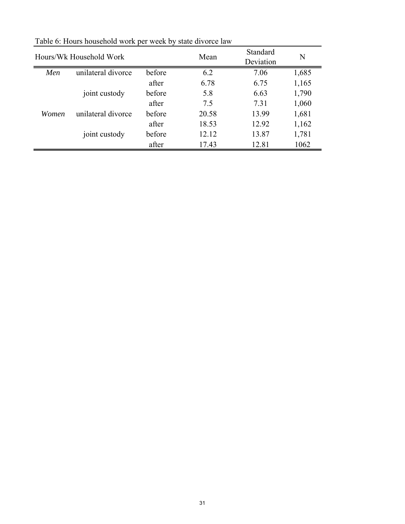| Hours/Wk Household Work |                    | Mean   | Standard<br>Deviation | N     |       |
|-------------------------|--------------------|--------|-----------------------|-------|-------|
| Men                     | unilateral divorce | before | 6.2                   | 7.06  | 1,685 |
|                         |                    | after  | 6.78                  | 6.75  | 1,165 |
|                         | joint custody      | before | 5.8                   | 6.63  | 1,790 |
|                         |                    | after  | 7.5                   | 7.31  | 1,060 |
| Women                   | unilateral divorce | before | 20.58                 | 13.99 | 1,681 |
|                         |                    | after  | 18.53                 | 12.92 | 1,162 |
|                         | joint custody      | before | 12.12                 | 13.87 | 1,781 |
|                         |                    | after  | 17.43                 | 12.81 | 1062  |

Table 6: Hours household work per week by state divorce law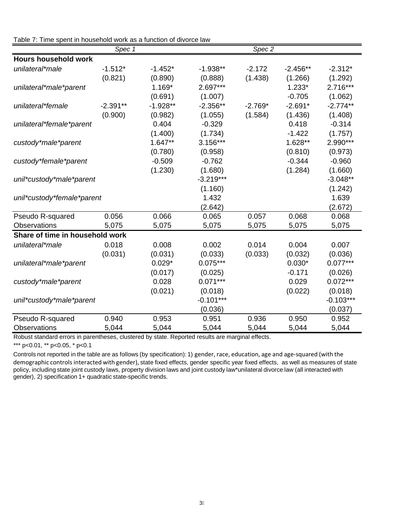| $\frac{1}{2}$ able $\frac{1}{2}$ . Thrie spent in Housenold work as a function of divolve law | Spec 1     |            |             | Spec 2    |            |             |
|-----------------------------------------------------------------------------------------------|------------|------------|-------------|-----------|------------|-------------|
| <b>Hours household work</b>                                                                   |            |            |             |           |            |             |
| unilateral*male                                                                               | $-1.512*$  | $-1.452*$  | $-1.938**$  | $-2.172$  | $-2.456**$ | $-2.312*$   |
|                                                                                               | (0.821)    | (0.890)    | (0.888)     | (1.438)   | (1.266)    | (1.292)     |
| unilateral*male*parent                                                                        |            | $1.169*$   | $2.697***$  |           | $1.233*$   | 2.716***    |
|                                                                                               |            | (0.691)    | (1.007)     |           | $-0.705$   | (1.062)     |
| unilateral*female                                                                             | $-2.391**$ | $-1.928**$ | $-2.356**$  | $-2.769*$ | $-2.691*$  | $-2.774**$  |
|                                                                                               | (0.900)    | (0.982)    | (1.055)     | (1.584)   | (1.436)    | (1.408)     |
| unilateral*female*parent                                                                      |            | 0.404      | $-0.329$    |           | 0.418      | $-0.314$    |
|                                                                                               |            | (1.400)    | (1.734)     |           | $-1.422$   | (1.757)     |
| custody*male*parent                                                                           |            | $1.647**$  | $3.156***$  |           | 1.628**    | 2.990***    |
|                                                                                               |            | (0.780)    | (0.958)     |           | (0.810)    | (0.973)     |
| custody*female*parent                                                                         |            | $-0.509$   | $-0.762$    |           | $-0.344$   | $-0.960$    |
|                                                                                               |            | (1.230)    | (1.680)     |           | (1.284)    | (1.660)     |
| unil*custody*male*parent                                                                      |            |            | $-3.219***$ |           |            | $-3.048**$  |
|                                                                                               |            |            | (1.160)     |           |            | (1.242)     |
| unil*custody*female*parent                                                                    |            |            | 1.432       |           |            | 1.639       |
|                                                                                               |            |            | (2.642)     |           |            | (2.672)     |
| Pseudo R-squared                                                                              | 0.056      | 0.066      | 0.065       | 0.057     | 0.068      | 0.068       |
| <b>Observations</b>                                                                           | 5,075      | 5,075      | 5,075       | 5,075     | 5,075      | 5,075       |
| Share of time in household work                                                               |            |            |             |           |            |             |
| unilateral*male                                                                               | 0.018      | 0.008      | 0.002       | 0.014     | 0.004      | 0.007       |
|                                                                                               | (0.031)    | (0.031)    | (0.033)     | (0.033)   | (0.032)    | (0.036)     |
| unilateral*male*parent                                                                        |            | $0.029*$   | $0.075***$  |           | $0.030*$   | $0.077***$  |
|                                                                                               |            | (0.017)    | (0.025)     |           | $-0.171$   | (0.026)     |
| custody*male*parent                                                                           |            | 0.028      | $0.071***$  |           | 0.029      | $0.072***$  |
|                                                                                               |            | (0.021)    | (0.018)     |           | (0.022)    | (0.018)     |
| unil*custody*male*parent                                                                      |            |            | $-0.101***$ |           |            | $-0.103***$ |
|                                                                                               |            |            | (0.036)     |           |            | (0.037)     |
| Pseudo R-squared                                                                              | 0.940      | 0.953      | 0.951       | 0.936     | 0.950      | 0.952       |
| <b>Observations</b>                                                                           | 5,044      | 5,044      | 5,044       | 5,044     | 5,044      | 5,044       |

#### Table 7: Time spent in household work as a function of divorce law

Robust standard errors in parentheses, clustered by state. Reported results are marginal effects.

\*\*\* p<0.01, \*\* p<0.05, \* p<0.1

Controls not reported in the table are as follows (by specification): 1) gender, race, education, age and age‐squared (with the demographic controls interacted with gender), state fixed effects, gender specific year fixed effects, as well as measures of state policy, including state joint custody laws, property division laws and joint custody law\*unilateral divorce law (all interacted with gender), 2) specification 1+ quadratic state-specific trends.